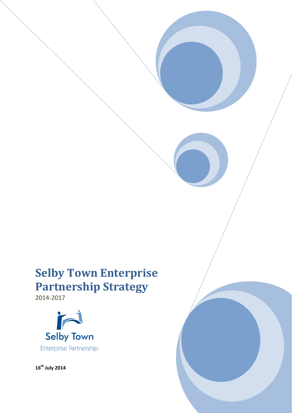# **Selby Town Enterprise Partnership Strategy**

2014-2017



**16th July 2014**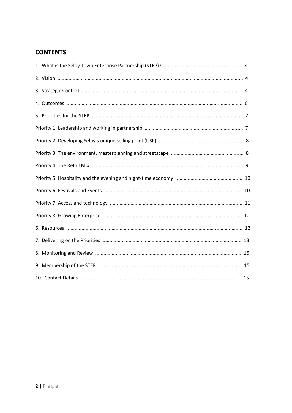# **CONTENTS**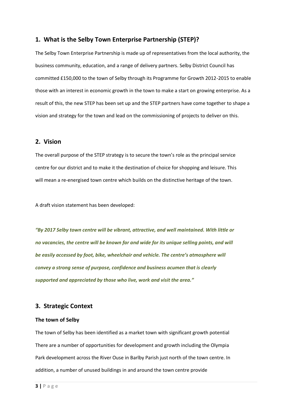## **1. What is the Selby Town Enterprise Partnership (STEP)?**

The Selby Town Enterprise Partnership is made up of representatives from the local authority, the business community, education, and a range of delivery partners. Selby District Council has committed £150,000 to the town of Selby through its Programme for Growth 2012-2015 to enable those with an interest in economic growth in the town to make a start on growing enterprise. As a result of this, the new STEP has been set up and the STEP partners have come together to shape a vision and strategy for the town and lead on the commissioning of projects to deliver on this.

## **2. Vision**

The overall purpose of the STEP strategy is to secure the town's role as the principal service centre for our district and to make it the destination of choice for shopping and leisure. This will mean a re-energised town centre which builds on the distinctive heritage of the town.

A draft vision statement has been developed:

*"By 2017 Selby town centre will be vibrant, attractive, and well maintained. With little or no vacancies, the centre will be known far and wide for its unique selling points, and will be easily accessed by foot, bike, wheelchair and vehicle. The centre's atmosphere will convey a strong sense of purpose, confidence and business acumen that is clearly supported and appreciated by those who live, work and visit the area."*

# **3. Strategic Context**

#### **The town of Selby**

The town of Selby has been identified as a market town with significant growth potential There are a number of opportunities for development and growth including the Olympia Park development across the River Ouse in Barlby Parish just north of the town centre. In addition, a number of unused buildings in and around the town centre provide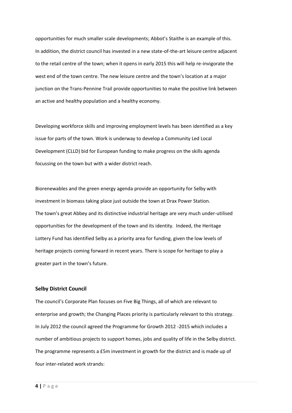opportunities for much smaller scale developments; Abbot's Staithe is an example of this. In addition, the district council has invested in a new state-of-the-art leisure centre adjacent to the retail centre of the town; when it opens in early 2015 this will help re-invigorate the west end of the town centre. The new leisure centre and the town's location at a major junction on the Trans-Pennine Trail provide opportunities to make the positive link between an active and healthy population and a healthy economy.

Developing workforce skills and improving employment levels has been identified as a key issue for parts of the town. Work is underway to develop a Community Led Local Development (CLLD) bid for European funding to make progress on the skills agenda focussing on the town but with a wider district reach.

Biorenewables and the green energy agenda provide an opportunity for Selby with investment in biomass taking place just outside the town at Drax Power Station. The town's great Abbey and its distinctive industrial heritage are very much under-utilised opportunities for the development of the town and its identity. Indeed, the Heritage Lottery Fund has identified Selby as a priority area for funding, given the low levels of heritage projects coming forward in recent years. There is scope for heritage to play a greater part in the town's future.

#### **Selby District Council**

The council's Corporate Plan focuses on Five Big Things, all of which are relevant to enterprise and growth; the Changing Places priority is particularly relevant to this strategy. In July 2012 the council agreed the Programme for Growth 2012 -2015 which includes a number of ambitious projects to support homes, jobs and quality of life in the Selby district. The programme represents a £5m investment in growth for the district and is made up of four inter-related work strands: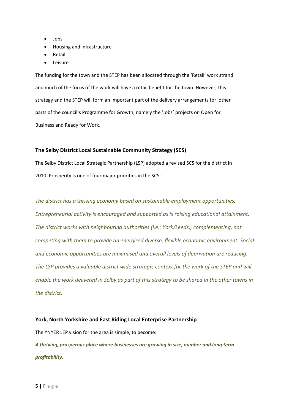- Jobs
- Housing and infrastructure
- Retail
- Leisure

The funding for the town and the STEP has been allocated through the 'Retail' work strand and much of the focus of the work will have a retail benefit for the town. However, this strategy and the STEP will form an important part of the delivery arrangements for other parts of the council's Programme for Growth, namely the 'Jobs' projects on Open for Business and Ready for Work.

#### **The Selby District Local Sustainable Community Strategy (SCS)**

The Selby District Local Strategic Partnership (LSP) adopted a revised SCS for the district in 2010. Prosperity is one of four major priorities in the SCS:

*The district has a thriving economy based on sustainable employment opportunities. Entrepreneurial activity is encouraged and supported as is raising educational attainment. The district works with neighbouring authorities (i.e.: York/Leeds), complementing, not competing with them to provide an energised diverse, flexible economic environment. Social and economic opportunities are maximised and overall levels of deprivation are reducing.*  The LSP provides a valuable district wide strategic context for the work of the STEP and will *enable the work delivered in Selby as part of this strategy to be shared in the other towns in the district.* 

### **York, North Yorkshire and East Riding Local Enterprise Partnership**

The YNYER LEP vision for the area is simple, to become:

*A thriving, prosperous place where businesses are growing in size, number and long term profitability.*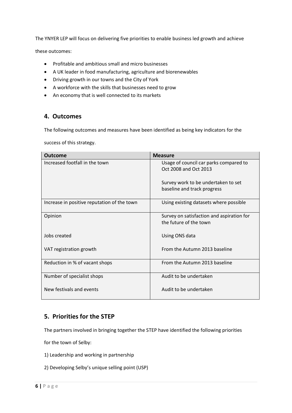The YNYER LEP will focus on delivering five priorities to enable business led growth and achieve

these outcomes:

- Profitable and ambitious small and micro businesses
- A UK leader in food manufacturing, agriculture and biorenewables
- Driving growth in our towns and the City of York
- A workforce with the skills that businesses need to grow
- An economy that is well connected to its markets

## **4. Outcomes**

The following outcomes and measures have been identified as being key indicators for the

success of this strategy.

| <b>Outcome</b>                              | <b>Measure</b>                                                      |
|---------------------------------------------|---------------------------------------------------------------------|
| Increased footfall in the town              | Usage of council car parks compared to<br>Oct 2008 and Oct 2013     |
|                                             | Survey work to be undertaken to set<br>baseline and track progress  |
| Increase in positive reputation of the town | Using existing datasets where possible                              |
| Opinion                                     | Survey on satisfaction and aspiration for<br>the future of the town |
| Jobs created                                | Using ONS data                                                      |
| VAT registration growth                     | From the Autumn 2013 baseline                                       |
| Reduction in % of vacant shops              | From the Autumn 2013 baseline                                       |
| Number of specialist shops                  | Audit to be undertaken                                              |
| New festivals and events                    | Audit to be undertaken                                              |

# **5. Priorities for the STEP**

The partners involved in bringing together the STEP have identified the following priorities

for the town of Selby:

- 1) Leadership and working in partnership
- 2) Developing Selby's unique selling point (USP)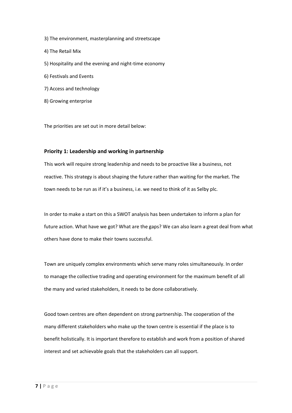- 3) The environment, masterplanning and streetscape
- 4) The Retail Mix
- 5) Hospitality and the evening and night-time economy
- 6) Festivals and Events
- 7) Access and technology
- 8) Growing enterprise

The priorities are set out in more detail below:

#### **Priority 1: Leadership and working in partnership**

This work will require strong leadership and needs to be proactive like a business, not reactive. This strategy is about shaping the future rather than waiting for the market. The town needs to be run as if it's a business, i.e. we need to think of it as Selby plc.

In order to make a start on this a SWOT analysis has been undertaken to inform a plan for future action. What have we got? What are the gaps? We can also learn a great deal from what others have done to make their towns successful.

Town are uniquely complex environments which serve many roles simultaneously. In order to manage the collective trading and operating environment for the maximum benefit of all the many and varied stakeholders, it needs to be done collaboratively.

Good town centres are often dependent on strong partnership. The cooperation of the many different stakeholders who make up the town centre is essential if the place is to benefit holistically. It is important therefore to establish and work from a position of shared interest and set achievable goals that the stakeholders can all support.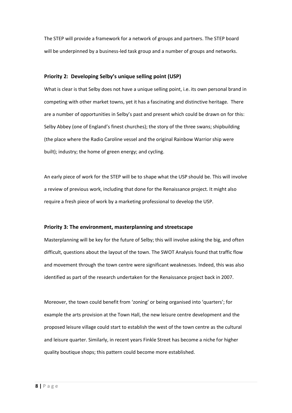The STEP will provide a framework for a network of groups and partners. The STEP board will be underpinned by a business-led task group and a number of groups and networks.

#### **Priority 2: Developing Selby's unique selling point (USP)**

What is clear is that Selby does not have a unique selling point, i.e. its own personal brand in competing with other market towns, yet it has a fascinating and distinctive heritage. There are a number of opportunities in Selby's past and present which could be drawn on for this: Selby Abbey (one of England's finest churches); the story of the three swans; shipbuilding (the place where the Radio Caroline vessel and the original Rainbow Warrior ship were built); industry; the home of green energy; and cycling.

An early piece of work for the STEP will be to shape what the USP should be. This will involve a review of previous work, including that done for the Renaissance project. It might also require a fresh piece of work by a marketing professional to develop the USP.

#### **Priority 3: The environment, masterplanning and streetscape**

Masterplanning will be key for the future of Selby; this will involve asking the big, and often difficult, questions about the layout of the town. The SWOT Analysis found that traffic flow and movement through the town centre were significant weaknesses. Indeed, this was also identified as part of the research undertaken for the Renaissance project back in 2007.

Moreover, the town could benefit from 'zoning' or being organised into 'quarters'; for example the arts provision at the Town Hall, the new leisure centre development and the proposed leisure village could start to establish the west of the town centre as the cultural and leisure quarter. Similarly, in recent years Finkle Street has become a niche for higher quality boutique shops; this pattern could become more established.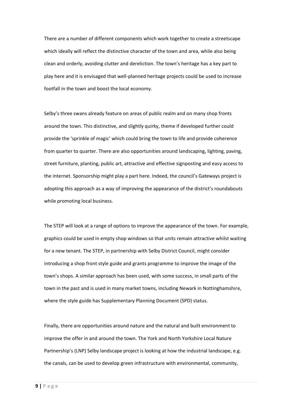There are a number of different components which work together to create a streetscape which ideally will reflect the distinctive character of the town and area, while also being clean and orderly, avoiding clutter and dereliction. The town's heritage has a key part to play here and it is envisaged that well-planned heritage projects could be used to increase footfall in the town and boost the local economy.

Selby's three swans already feature on areas of public realm and on many shop fronts around the town. This distinctive, and slightly quirky, theme if developed further could provide the 'sprinkle of magic' which could bring the town to life and provide coherence from quarter to quarter. There are also opportunities around landscaping, lighting, paving, street furniture, planting, public art, attractive and effective signposting and easy access to the internet. Sponsorship might play a part here. Indeed, the council's Gateways project is adopting this approach as a way of improving the appearance of the district's roundabouts while promoting local business.

The STEP will look at a range of options to improve the appearance of the town. For example, graphics could be used in empty shop windows so that units remain attractive whilst waiting for a new tenant. The STEP, in partnership with Selby District Council, might consider introducing a shop front style guide and grants programme to improve the image of the town's shops. A similar approach has been used, with some success, in small parts of the town in the past and is used in many market towns, including Newark in Nottinghamshire, where the style guide has Supplementary Planning Document (SPD) status.

Finally, there are opportunities around nature and the natural and built environment to improve the offer in and around the town. The York and North Yorkshire Local Nature Partnership's (LNP) Selby landscape project is looking at how the industrial landscape, e.g. the canals, can be used to develop green infrastructure with environmental, community,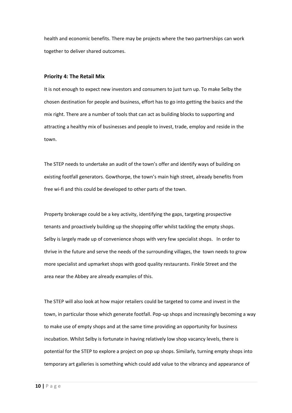health and economic benefits. There may be projects where the two partnerships can work together to deliver shared outcomes.

#### **Priority 4: The Retail Mix**

It is not enough to expect new investors and consumers to just turn up. To make Selby the chosen destination for people and business, effort has to go into getting the basics and the mix right. There are a number of tools that can act as building blocks to supporting and attracting a healthy mix of businesses and people to invest, trade, employ and reside in the town.

The STEP needs to undertake an audit of the town's offer and identify ways of building on existing footfall generators. Gowthorpe, the town's main high street, already benefits from free wi-fi and this could be developed to other parts of the town.

Property brokerage could be a key activity, identifying the gaps, targeting prospective tenants and proactively building up the shopping offer whilst tackling the empty shops. Selby is largely made up of convenience shops with very few specialist shops. In order to thrive in the future and serve the needs of the surrounding villages, the town needs to grow more specialist and upmarket shops with good quality restaurants. Finkle Street and the area near the Abbey are already examples of this.

The STEP will also look at how major retailers could be targeted to come and invest in the town, in particular those which generate footfall. Pop-up shops and increasingly becoming a way to make use of empty shops and at the same time providing an opportunity for business incubation. Whilst Selby is fortunate in having relatively low shop vacancy levels, there is potential for the STEP to explore a project on pop up shops. Similarly, turning empty shops into temporary art galleries is something which could add value to the vibrancy and appearance of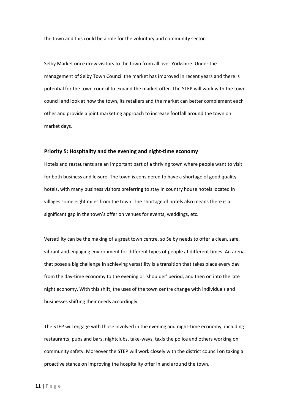the town and this could be a role for the voluntary and community sector.

Selby Market once drew visitors to the town from all over Yorkshire. Under the management of Selby Town Council the market has improved in recent years and there is potential for the town council to expand the market offer. The STEP will work with the town council and look at how the town, its retailers and the market can better complement each other and provide a joint marketing approach to increase footfall around the town on market days.

#### **Priority 5: Hospitality and the evening and night-time economy**

Hotels and restaurants are an important part of a thriving town where people want to visit for both business and leisure. The town is considered to have a shortage of good quality hotels, with many business visitors preferring to stay in country house hotels located in villages some eight miles from the town. The shortage of hotels also means there is a significant gap in the town's offer on venues for events, weddings, etc.

Versatility can be the making of a great town centre, so Selby needs to offer a clean, safe, vibrant and engaging environment for different types of people at different times. An arena that poses a big challenge in achieving versatility is a transition that takes place every day from the day-time economy to the evening or 'shoulder' period, and then on into the late night economy. With this shift, the uses of the town centre change with individuals and businesses shifting their needs accordingly.

The STEP will engage with those involved in the evening and night-time economy, including restaurants, pubs and bars, nightclubs, take-ways, taxis the police and others working on community safety. Moreover the STEP will work closely with the district council on taking a proactive stance on improving the hospitality offer in and around the town.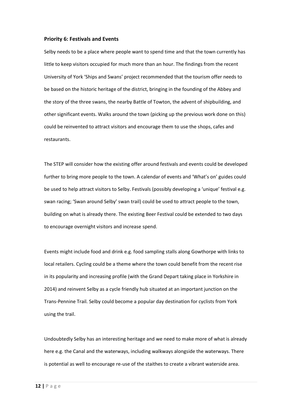#### **Priority 6: Festivals and Events**

Selby needs to be a place where people want to spend time and that the town currently has little to keep visitors occupied for much more than an hour. The findings from the recent University of York 'Ships and Swans' project recommended that the tourism offer needs to be based on the historic heritage of the district, bringing in the founding of the Abbey and the story of the three swans, the nearby Battle of Towton, the advent of shipbuilding, and other significant events. Walks around the town (picking up the previous work done on this) could be reinvented to attract visitors and encourage them to use the shops, cafes and restaurants.

The STEP will consider how the existing offer around festivals and events could be developed further to bring more people to the town. A calendar of events and 'What's on' guides could be used to help attract visitors to Selby. Festivals (possibly developing a 'unique' festival e.g. swan racing; 'Swan around Selby' swan trail) could be used to attract people to the town, building on what is already there. The existing Beer Festival could be extended to two days to encourage overnight visitors and increase spend.

Events might include food and drink e.g. food sampling stalls along Gowthorpe with links to local retailers. Cycling could be a theme where the town could benefit from the recent rise in its popularity and increasing profile (with the Grand Depart taking place in Yorkshire in 2014) and reinvent Selby as a cycle friendly hub situated at an important junction on the Trans-Pennine Trail. Selby could become a popular day destination for cyclists from York using the trail.

Undoubtedly Selby has an interesting heritage and we need to make more of what is already here e.g. the Canal and the waterways, including walkways alongside the waterways. There is potential as well to encourage re-use of the staithes to create a vibrant waterside area.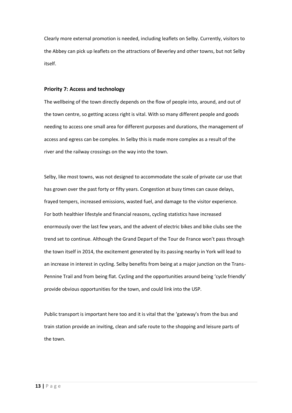Clearly more external promotion is needed, including leaflets on Selby. Currently, visitors to the Abbey can pick up leaflets on the attractions of Beverley and other towns, but not Selby itself.

#### **Priority 7: Access and technology**

The wellbeing of the town directly depends on the flow of people into, around, and out of the town centre, so getting access right is vital. With so many different people and goods needing to access one small area for different purposes and durations, the management of access and egress can be complex. In Selby this is made more complex as a result of the river and the railway crossings on the way into the town.

Selby, like most towns, was not designed to accommodate the scale of private car use that has grown over the past forty or fifty years. Congestion at busy times can cause delays, frayed tempers, increased emissions, wasted fuel, and damage to the visitor experience. For both healthier lifestyle and financial reasons, cycling statistics have increased enormously over the last few years, and the advent of electric bikes and bike clubs see the trend set to continue. Although the Grand Depart of the Tour de France won't pass through the town itself in 2014, the excitement generated by its passing nearby in York will lead to an increase in interest in cycling. Selby benefits from being at a major junction on the Trans-Pennine Trail and from being flat. Cycling and the opportunities around being 'cycle friendly' provide obvious opportunities for the town, and could link into the USP.

Public transport is important here too and it is vital that the 'gateway's from the bus and train station provide an inviting, clean and safe route to the shopping and leisure parts of the town.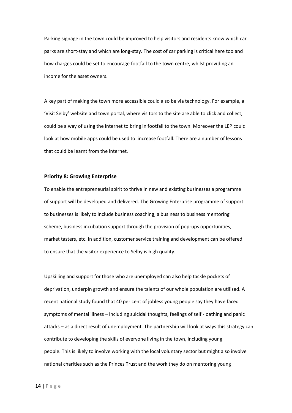Parking signage in the town could be improved to help visitors and residents know which car parks are short-stay and which are long-stay. The cost of car parking is critical here too and how charges could be set to encourage footfall to the town centre, whilst providing an income for the asset owners.

A key part of making the town more accessible could also be via technology. For example, a 'Visit Selby' website and town portal, where visitors to the site are able to click and collect, could be a way of using the internet to bring in footfall to the town. Moreover the LEP could look at how mobile apps could be used to increase footfall. There are a number of lessons that could be learnt from the internet.

#### **Priority 8: Growing Enterprise**

To enable the entrepreneurial spirit to thrive in new and existing businesses a programme of support will be developed and delivered. The Growing Enterprise programme of support to businesses is likely to include business coaching, a business to business mentoring scheme, business incubation support through the provision of pop-ups opportunities, market tasters, etc. In addition, customer service training and development can be offered to ensure that the visitor experience to Selby is high quality.

Upskilling and support for those who are unemployed can also help tackle pockets of deprivation, underpin growth and ensure the talents of our whole population are utilised. A recent national study found that 40 per cent of jobless young people say they have faced symptoms of mental illness – including suicidal thoughts, feelings of self -loathing and panic attacks – as a direct result of unemployment. The partnership will look at ways this strategy can contribute to developing the skills of everyone living in the town, including young people. This is likely to involve working with the local voluntary sector but might also involve national charities such as the Princes Trust and the work they do on mentoring young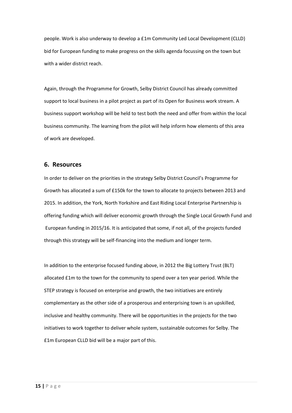people. Work is also underway to develop a £1m Community Led Local Development (CLLD) bid for European funding to make progress on the skills agenda focussing on the town but with a wider district reach.

Again, through the Programme for Growth, Selby District Council has already committed support to local business in a pilot project as part of its Open for Business work stream. A business support workshop will be held to test both the need and offer from within the local business community. The learning from the pilot will help inform how elements of this area of work are developed.

## **6. Resources**

In order to deliver on the priorities in the strategy Selby District Council's Programme for Growth has allocated a sum of £150k for the town to allocate to projects between 2013 and 2015. In addition, the York, North Yorkshire and East Riding Local Enterprise Partnership is offering funding which will deliver economic growth through the Single Local Growth Fund and European funding in 2015/16. It is anticipated that some, if not all, of the projects funded through this strategy will be self-financing into the medium and longer term.

In addition to the enterprise focused funding above, in 2012 the Big Lottery Trust (BLT) allocated £1m to the town for the community to spend over a ten year period. While the STEP strategy is focused on enterprise and growth, the two initiatives are entirely complementary as the other side of a prosperous and enterprising town is an upskilled, inclusive and healthy community. There will be opportunities in the projects for the two initiatives to work together to deliver whole system, sustainable outcomes for Selby. The £1m European CLLD bid will be a major part of this.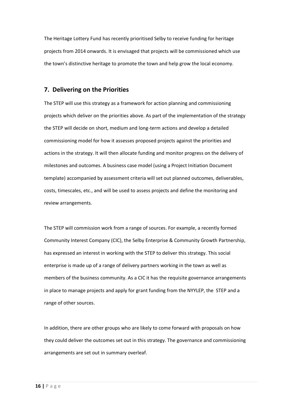The Heritage Lottery Fund has recently prioritised Selby to receive funding for heritage projects from 2014 onwards. It is envisaged that projects will be commissioned which use the town's distinctive heritage to promote the town and help grow the local economy.

## **7. Delivering on the Priorities**

The STEP will use this strategy as a framework for action planning and commissioning projects which deliver on the priorities above. As part of the implementation of the strategy the STEP will decide on short, medium and long-term actions and develop a detailed commissioning model for how it assesses proposed projects against the priorities and actions in the strategy. It will then allocate funding and monitor progress on the delivery of milestones and outcomes. A business case model (using a Project Initiation Document template) accompanied by assessment criteria will set out planned outcomes, deliverables, costs, timescales, etc., and will be used to assess projects and define the monitoring and review arrangements.

The STEP will commission work from a range of sources. For example, a recently formed Community Interest Company (CIC), the Selby Enterprise & Community Growth Partnership, has expressed an interest in working with the STEP to deliver this strategy. This social enterprise is made up of a range of delivery partners working in the town as well as members of the business community. As a CIC it has the requisite governance arrangements in place to manage projects and apply for grant funding from the NYYLEP, the STEP and a range of other sources.

In addition, there are other groups who are likely to come forward with proposals on how they could deliver the outcomes set out in this strategy. The governance and commissioning arrangements are set out in summary overleaf.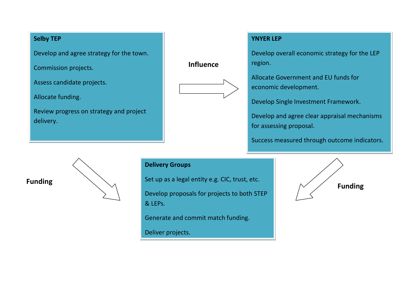# **Selby TEP**

Develop and agree strategy for the town.

Commission projects.

Assess candidate projects.

Allocate funding.

Review progress on strategy and project delivery.



# **YNYER LEP**

Develop overall economic strategy for the LEP region.

Allocate Government and EU funds for economic development.

Develop Single Investment Framework.

Develop and agree clear appraisal mechanisms for assessing proposal.

Success measured through outcome indicators.



# **Delivery Groups**

Develop proposals for projects to both STEP & LEPs.

Generate and commit match funding.

Deliver projects.

**Funding** Set up as a legal entity e.g. CIC, trust, etc. **Funding Funding**